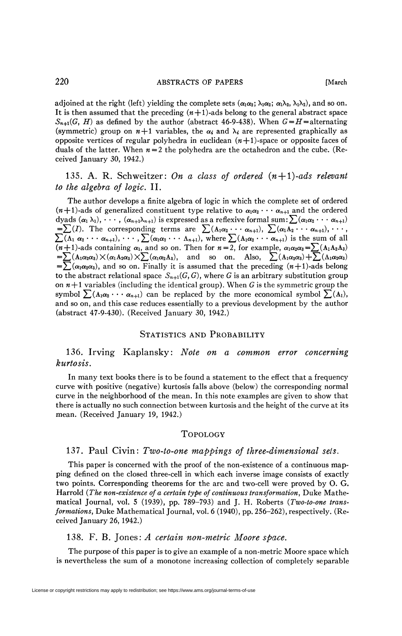adjoined at the right (left) yielding the complete sets  $(\alpha_1\alpha_2;\lambda_1\alpha_2;\alpha_1\lambda_2,\lambda_1\lambda_2)$ , and so on. It is then assumed that the preceding  $(m+1)$ -ads belong to the general abstract space  $S_{n+1}(G, H)$  as defined by the author (abstract 46-9-438). When  $G = H$ =alternating (symmetric) group on  $n+1$  variables, the  $\alpha_i$  and  $\lambda_i$  are represented graphically as opposite vertices of regular polyhedra in euclidean  $(n+1)$ -space or opposite faces of duals of the latter. When  $n = 2$  the polyhedra are the octahedron and the cube. (Received January 30, 1942.)

135. A. R. Schweitzer: *On a class of ordered (n + l)-ads relevant to the algebra of logic.* II.

The author develops a finite algebra of logic in which the complete set of ordered  $(n+1)$ -ads of generalized constituent type relative to  $\alpha_1\alpha_2\cdots\alpha_{n+1}$  and the ordered dyads  $(\alpha_1 \lambda_1), \cdots, (\alpha_{n+1} \lambda_{n+1})$  is expressed as a reflexive formal sum:  $\sum (\alpha_1 \alpha_2 \cdots \alpha_{n+1})$  $=\sum(I)$ . The corresponding terms are  $\sum(\Lambda_1\alpha_2\cdots\alpha_{n+1}), \sum(\alpha_1\Lambda_2\cdots\alpha_{n+1}), \cdots,$  $\sum(\Lambda_1 \alpha_2 \cdots \alpha_{n+1}), \cdots, \sum(\alpha_1 \alpha_2 \cdots \alpha_{n+1}),$  where  $\sum(\Lambda_1 \alpha_2 \cdots \alpha_{n+1})$  is the sum of all  $(n+1)$ -ads containing  $\alpha_1$ , and so on. Then for  $n=2$ , for example,  $\alpha_1\alpha_2\alpha_3 = \sum_{n=1}^{\infty} (A_1A_2A_3)$  $=\sum (A_1\alpha_2\alpha_3)\times(\alpha_1A_2\alpha_3)\times\sum (\alpha_1\alpha_2A_3),$  and so on. Also,  $\sum (A_1\alpha_2\alpha_3)+\sum (\Lambda_1\alpha_2\alpha_3)$  $=\sum(\alpha_1\alpha_2\alpha_3)$ , and so on. Finally it is assumed that the preceding  $(n+1)$ -ads belong to the abstract relational space  $S_{n+1}(G, G)$ , where G is an arbitrary substitution group on  $n+1$  variables (including the identical group). When G is the symmetric group the symbol  $\sum_{i=1}^{n}$  ( $A_1\alpha_2 \cdots \alpha_{n+1}$ ) can be replaced by the more economical symbol  $\sum_{i=1}^{n}$  ( $A_1$ ), and so on, and this case reduces essentially to a previous development by the author (abstract 47-9-430). (Received January 30, 1942.)

#### STATISTICS AND PROBABILITY

136. Irving Kaplansky: *Note on a common error concerning kurtosis.* 

In many text books there is to be found a statement to the effect that a frequency curve with positive (negative) kurtosis falls above (below) the corresponding normal curve in the neighborhood of the mean. In this note examples are given to show that there is actually no such connection between kurtosis and the height of the curve at its mean. (Received January 19, 1942.)

#### TOPOLOGY

# 137. Paul Civin: Two-to-one mappings of three-dimensional sets.

This paper is concerned with the proof of the non-existence of a continuous mapping defined on the closed three-cell in which each inverse image consists of exactly two points. Corresponding theorems for the arc and two-cell were proved by O. G. Harrold *(The non-existence of a certain type of continuous transformation,* Duke Mathematical Journal, vol. 5 (1939), pp. 789-793) and J. H. Roberts *(Two-to-one transformations,* Duke Mathematical Journal, vol. 6 (1940), pp. 256-262), respectively. (Received January 26, 1942.)

### 138. F. B. Jones: *A certain non-metric Moore space.*

The purpose of this paper is to give an example of a non-metric Moore space which is nevertheless the sum of a monotone increasing collection of completely separable